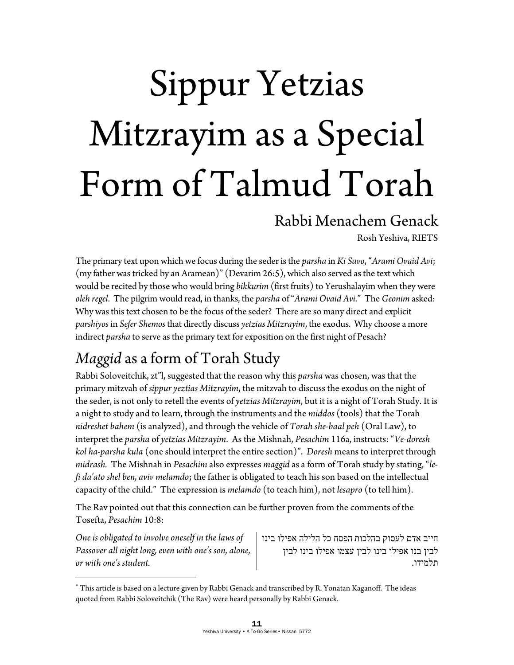# Sippur Yetzias Mitzrayim as a Special Form of Talmud Torah

#### Rabbi Menachem Genack

Rosh Yeshiva, RIETS

The primary text upon which we focus during the seder is the *parsha* in *Ki Savo*, "*Arami Ovaid Avi*; (my father was tricked by an Aramean)" (Devarim 26:5), which also served as the text which would be recited by those who would bring *bikkurim* (first fruits) to Yerushalayim when they were *oleh regel*. The pilgrim would read, in thanks, the *parsha* of "*Arami Ovaid Avi*." The *Geonim* asked: Why was this text chosen to be the focus of the seder? There are so many direct and explicit *parshiyos* in *Sefer Shemos* that directly discuss *yetzias Mitzrayim*, the exodus. Why choose a more indirect *parsha* to serve as the primary text for exposition on the first night of Pesach?

## *Maggid* as a form of Torah Study

Rabbi Soloveitchik, zt"l, suggested that the reason why this *parsha* was chosen, was that the primary mitzvah of *sippur yeztias Mitzrayim*, the mitzvah to discuss the exodus on the night of the seder, is not only to retell the events of *yetzias Mitzrayim*, but it is a night of Torah Study. It is a night to study and to learn, through the instruments and the *middos* (tools) that the Torah *nidreshet bahem* (is analyzed), and through the vehicle of *Torah she-baal peh* (Oral Law), to interpret the *parsha* of *yetzias Mitzrayim*. As the Mishnah, *Pesachim* 116a, instructs: "*Ve-doresh kol ha-parsha kula* (one should interpret the entire section)". *Doresh* means to interpret through *midrash.* The Mishnah in *Pesachim* also expresses *maggid* as a form of Torah study by stating, "*lefi da'ato shel ben, aviv melamdo*; the father is obligated to teach his son based on the intellectual capacity of the child." The expression is *melamdo* (to teach him), not *lesapro* (to tell him).

The Rav pointed out that this connection can be further proven from the comments of the Tosefta, *Pesachim* 10:8:

*One is obligated to involve oneself in the laws of Passover all night long, even with one's son, alone, or with one's student.* 

 $\overline{a}$ 

חייב אדם לעסוק בהלכות הפסח כל הלילה אפילו בינו לבין בנו אפילו בינו לבין עצמו אפילו בינו לבין תלמידו .

 This article is based on a lecture given by Rabbi Genack and transcribed by R. Yonatan Kaganoff. The ideas quoted from Rabbi Soloveitchik (The Rav) were heard personally by Rabbi Genack.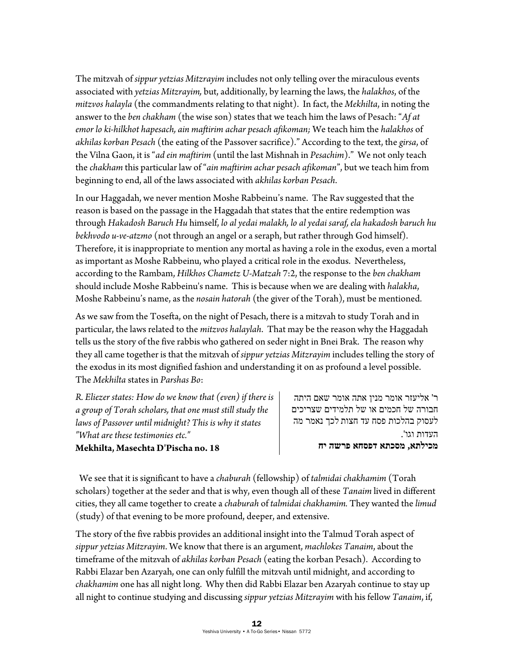The mitzvah of *sippur yetzias Mitzrayim* includes not only telling over the miraculous events associated with *yetzias Mitzrayim,* but, additionally, by learning the laws, the *halakhos*, of the *mitzvos halayla* (the commandments relating to that night). In fact, the *Mekhilta*, in noting the answer to the *ben chakham* (the wise son) states that we teach him the laws of Pesach: "*Af at emor lo ki-hilkhot hapesach, ain maftirim achar pesach afikoman;* We teach him the *halakhos* of *akhilas korban Pesach* (the eating of the Passover sacrifice)." According to the text, the *girsa*, of the Vilna Gaon, it is "*ad ein maftirim* (until the last Mishnah in *Pesachim*)." We not only teach the *chakham* this particular law of "*ain maftirim achar pesach afikoman*", but we teach him from beginning to end, all of the laws associated with *akhilas korban Pesach*.

In our Haggadah, we never mention Moshe Rabbeinu's name. The Rav suggested that the reason is based on the passage in the Haggadah that states that the entire redemption was through *Hakadosh Baruch Hu* himself, *lo al yedai malakh, lo al yedai saraf, ela hakadosh baruch hu bekhvodo u-ve-atzmo* (not through an angel or a seraph, but rather through God himself). Therefore, it is inappropriate to mention any mortal as having a role in the exodus, even a mortal as important as Moshe Rabbeinu, who played a critical role in the exodus. Nevertheless, according to the Rambam, *Hilkhos Chametz U-Matzah* 7:2, the response to the *ben chakham* should include Moshe Rabbeinu's name. This is because when we are dealing with *halakha*, Moshe Rabbeinu's name, as the *nosain hatorah* (the giver of the Torah), must be mentioned.

As we saw from the Tosefta, on the night of Pesach, there is a mitzvah to study Torah and in particular, the laws related to the *mitzvos halaylah*. That may be the reason why the Haggadah tells us the story of the five rabbis who gathered on seder night in Bnei Brak. The reason why they all came together is that the mitzvah of *sippur yetzias Mitzrayim* includes telling the story of the exodus in its most dignified fashion and understanding it on as profound a level possible. The *Mekhilta* states in *Parshas Bo*:

*R. Eliezer states: How do we know that (even) if there is a group of Torah scholars, that one must still study the laws of Passover until midnight? This is why it states "What are these testimonies etc."*  **Mekhilta, Masechta D'Pischa no. 18** 

ר' אליעזר מראו מנין אתה אומר שאם היתה חבורה של חכמים או של תלמידים שצריכים לעסוק בהלכות פסח עד חצות לכך נאמר מה העדות וגו .' **מכילתא, מסכתא דפסחא פרשה יח** 

 We see that it is significant to have a *chaburah* (fellowship) of *talmidai chakhamim* (Torah scholars) together at the seder and that is why, even though all of these *Tanaim* lived in different cities, they all came together to create a *chaburah* of *talmidai chakhamim.* They wanted the *limud* (study) of that evening to be more profound, deeper, and extensive.

The story of the five rabbis provides an additional insight into the Talmud Torah aspect of *sippur yetzias Mitzrayim*. We know that there is an argument, *machlokes Tanaim*, about the timeframe of the mitzvah of *akhilas korban Pesach* (eating the korban Pesach). According to Rabbi Elazar ben Azaryah, one can only fulfill the mitzvah until midnight, and according to *chakhamim* one has all night long. Why then did Rabbi Elazar ben Azaryah continue to stay up all night to continue studying and discussing *sippur yetzias Mitzrayim* with his fellow *Tanaim*, if,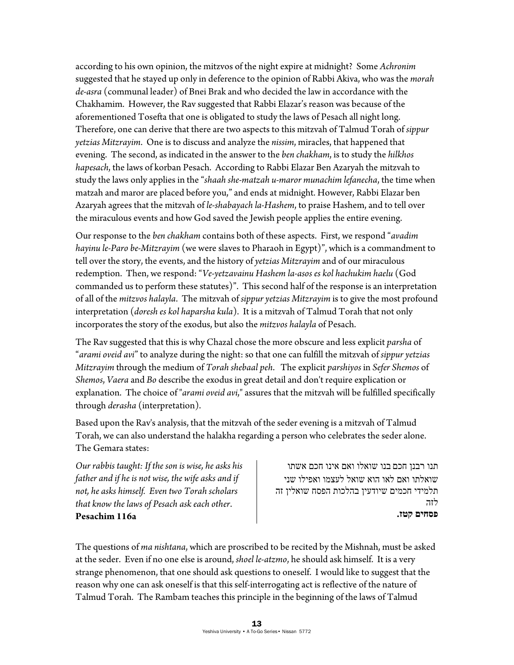according to his own opinion, the mitzvos of the night expire at midnight? Some *Achronim* suggested that he stayed up only in deference to the opinion of Rabbi Akiva, who was the *morah de-asra* (communal leader) of Bnei Brak and who decided the law in accordance with the Chakhamim. However, the Rav suggested that Rabbi Elazar's reason was because of the aforementioned Tosefta that one is obligated to study the laws of Pesach all night long. Therefore, one can derive that there are two aspects to this mitzvah of Talmud Torah of *sippur yetzias Mitzrayim*. One is to discuss and analyze the *nissim*, miracles, that happened that evening. The second, as indicated in the answer to the *ben chakham*, is to study the *hilkhos hapesach*, the laws of korban Pesach. According to Rabbi Elazar Ben Azaryah the mitzvah to study the laws only applies in the "*shaah she-matzah u-maror munachim lefanecha*, the time when matzah and maror are placed before you," and ends at midnight. However, Rabbi Elazar ben Azaryah agrees that the mitzvah of *le-shabayach la-Hashem*, to praise Hashem, and to tell over the miraculous events and how God saved the Jewish people applies the entire evening.

Our response to the *ben chakham* contains both of these aspects. First, we respond "*avadim hayinu le-Paro be-Mitzrayim* (we were slaves to Pharaoh in Egypt)", which is a commandment to tell over the story, the events, and the history of *yetzias Mitzrayim* and of our miraculous redemption. Then, we respond: "*Ve-yetzavainu Hashem la-asos es kol hachukim haelu* (God commanded us to perform these statutes)". This second half of the response is an interpretation of all of the *mitzvos halayla*. The mitzvah of *sippur yetzias Mitzrayim* is to give the most profound interpretation (*doresh es kol haparsha kula*). It is a mitzvah of Talmud Torah that not only incorporates the story of the exodus, but also the *mitzvos halayla* of Pesach.

The Rav suggested that this is why Chazal chose the more obscure and less explicit *parsha* of "*arami oveid avi*" to analyze during the night: so that one can fulfill the mitzvah of *sippur yetzias Mitzrayim* through the medium of *Torah shebaal peh*. The explicit *parshiyos* in *Sefer Shemos* of *Shemos*, *Vaera* and *Bo* describe the exodus in great detail and don't require explication or explanation. The choice of "*arami oveid avi*," assures that the mitzvah will be fulfilled specifically through *derasha* (interpretation).

Based upon the Rav's analysis, that the mitzvah of the seder evening is a mitzvah of Talmud Torah, we can also understand the halakha regarding a person who celebrates the seder alone. The Gemara states:

*Our rabbis taught: If the son is wise, he asks his father and if he is not wise, the wife asks and if not, he asks himself. Even two Torah scholars that know the laws of Pesach ask each other*. **Pesachim 116a** 

תנו רבנן חכם בנו שואלו ואם אינו חכם אשתו שואלתו ואם לאו הוא שואל לעצמו ואפילו שני תלמידי חכמים שיודעין בהלכות הפסח שואלין זה לזה **פסחים קטז .**

The questions of *ma nishtana*, which are proscribed to be recited by the Mishnah, must be asked at the seder. Even if no one else is around, *shoel le-atzmo*, he should ask himself. It is a very strange phenomenon, that one should ask questions to oneself. I would like to suggest that the reason why one can ask oneself is that this self-interrogating act is reflective of the nature of Talmud Torah. The Rambam teaches this principle in the beginning of the laws of Talmud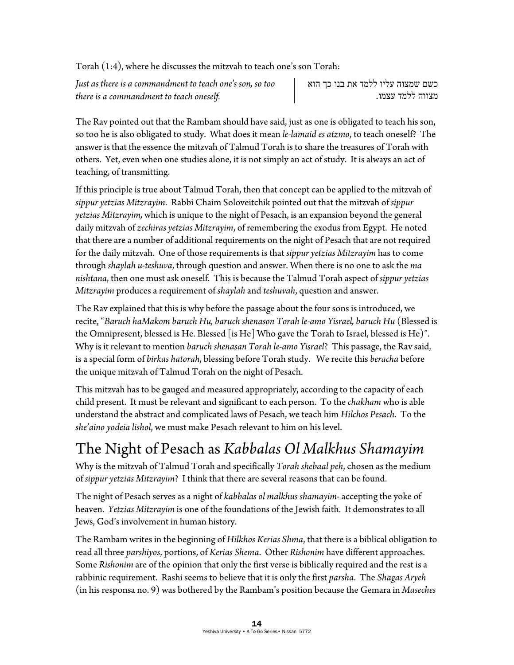Torah (1:4), where he discusses the mitzvah to teach one's son Torah:

*Just as there is a commandment to teach one's son, so too there is a commandment to teach oneself.*

כשם שמצוה עליו ללמד את בנו כך הוא מצווה ללמד עצמו .

The Rav pointed out that the Rambam should have said, just as one is obligated to teach his son, so too he is also obligated to study. What does it mean *le-lamaid es atzmo*, to teach oneself? The answer is that the essence the mitzvah of Talmud Torah is to share the treasures of Torah with others. Yet, even when one studies alone, it is not simply an act of study. It is always an act of teaching, of transmitting.

If this principle is true about Talmud Torah, then that concept can be applied to the mitzvah of *sippur yetzias Mitzrayim*. Rabbi Chaim Soloveitchik pointed out that the mitzvah of *sippur yetzias Mitzrayim,* which is unique to the night of Pesach, is an expansion beyond the general daily mitzvah of *zechiras yetzias Mitzrayim*, of remembering the exodus from Egypt. He noted that there are a number of additional requirements on the night of Pesach that are not required for the daily mitzvah. One of those requirements is that *sippur yetzias Mitzrayim* has to come through *shaylah u-teshuva*, through question and answer. When there is no one to ask the *ma nishtana*, then one must ask oneself. This is because the Talmud Torah aspect of *sippur yetzias Mitzrayim* produces a requirement of *shaylah* and *teshuvah*, question and answer.

The Rav explained that this is why before the passage about the four sons is introduced, we recite, "*Baruch haMakom baruch Hu, baruch shenason Torah le-amo Yisrael, baruch Hu* (Blessed is the Omnipresent, blessed is He. Blessed [is He] Who gave the Torah to Israel, blessed is He)". Why is it relevant to mention *baruch shenasan Torah le-amo Yisrael*? This passage, the Rav said, is a special form of *birkas hatorah*, blessing before Torah study. We recite this *beracha* before the unique mitzvah of Talmud Torah on the night of Pesach.

This mitzvah has to be gauged and measured appropriately, according to the capacity of each child present. It must be relevant and significant to each person. To the *chakham* who is able understand the abstract and complicated laws of Pesach, we teach him *Hilchos Pesach*. To the *she'aino yodeia lishol*, we must make Pesach relevant to him on his level.

### The Night of Pesach as *Kabbalas Ol Malkhus Shamayim*

Why is the mitzvah of Talmud Torah and specifically *Torah shebaal peh*, chosen as the medium of *sippur yetzias Mitzrayim*? I think that there are several reasons that can be found.

The night of Pesach serves as a night of *kabbalas ol malkhus shamayim-* accepting the yoke of heaven. *Yetzias Mitzrayim* is one of the foundations of the Jewish faith. It demonstrates to all Jews, God's involvement in human history.

The Rambam writes in the beginning of *Hilkhos Kerias Shma*, that there is a biblical obligation to read all three *parshiyos*, portions, of *Kerias Shema*. Other *Rishonim* have different approaches. Some *Rishonim* are of the opinion that only the first verse is biblically required and the rest is a rabbinic requirement. Rashi seems to believe that it is only the first *parsha*. The *Shagas Aryeh*  (in his responsa no. 9) was bothered by the Rambam's position because the Gemara in *Maseches*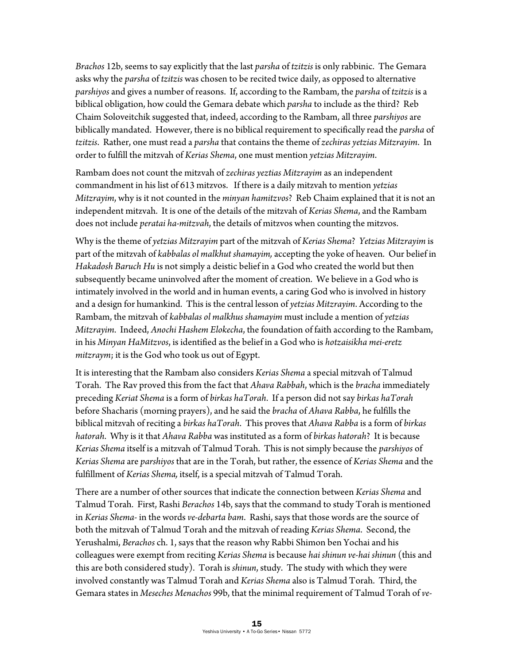*Brachos* 12b, seems to say explicitly that the last *parsha* of *tzitzis* is only rabbinic. The Gemara asks why the *parsha* of *tzitzis* was chosen to be recited twice daily, as opposed to alternative *parshiyos* and gives a number of reasons. If, according to the Rambam, the *parsha* of *tzitzis* is a biblical obligation, how could the Gemara debate which *parsha* to include as the third? Reb Chaim Soloveitchik suggested that, indeed, according to the Rambam, all three *parshiyos* are biblically mandated. However, there is no biblical requirement to specifically read the *parsha* of *tzitzis*. Rather, one must read a *parsha* that contains the theme of *zechiras yetzias Mitzrayim*. In order to fulfill the mitzvah of *Kerias Shema*, one must mention *yetzias Mitzrayim*.

Rambam does not count the mitzvah of *zechiras yeztias Mitzrayim* as an independent commandment in his list of 613 mitzvos. If there is a daily mitzvah to mention *yetzias Mitzrayim*, why is it not counted in the *minyan hamitzvos*? Reb Chaim explained that it is not an independent mitzvah. It is one of the details of the mitzvah of *Kerias Shema*, and the Rambam does not include *peratai ha-mitzvah*, the details of mitzvos when counting the mitzvos.

Why is the theme of *yetzias Mitzrayim* part of the mitzvah of *Kerias Shema*? *Yetzias Mitzrayim* is part of the mitzvah of *kabbalas ol malkhut shamayim,* accepting the yoke of heaven. Our belief in *Hakadosh Baruch Hu* is not simply a deistic belief in a God who created the world but then subsequently became uninvolved after the moment of creation. We believe in a God who is intimately involved in the world and in human events, a caring God who is involved in history and a design for humankind. This is the central lesson of *yetzias Mitzrayim*. According to the Rambam, the mitzvah of *kabbalas ol malkhus shamayim* must include a mention of *yetzias Mitzrayim*. Indeed, *Anochi Hashem Elokecha*, the foundation of faith according to the Rambam, in his *Minyan HaMitzvos*, is identified as the belief in a God who is *hotzaisikha mei-eretz mitzraym*; it is the God who took us out of Egypt.

It is interesting that the Rambam also considers *Kerias Shema* a special mitzvah of Talmud Torah. The Rav proved this from the fact that *Ahava Rabbah*, which is the *bracha* immediately preceding *Keriat Shema* is a form of *birkas haTorah*. If a person did not say *birkas haTorah*  before Shacharis (morning prayers), and he said the *bracha* of *Ahava Rabba*, he fulfills the biblical mitzvah of reciting a *birkas haTorah*.This proves that *Ahava Rabba* is a form of *birkas hatorah*. Why is it that *Ahava Rabba* was instituted as a form of *birkas hatorah*? It is because *Kerias Shema* itself is a mitzvah of Talmud Torah. This is not simply because the *parshiyos* of *Kerias Shema* are *parshiyos* that are in the Torah, but rather, the essence of *Kerias Shema* and the fulfillment of *Kerias Shema,* itself, is a special mitzvah of Talmud Torah.

There are a number of other sources that indicate the connection between *Kerias Shema* and Talmud Torah. First, Rashi *Berachos* 14b, says that the command to study Torah is mentioned in *Kerias Shema*- in the words *ve-debarta bam*. Rashi, says that those words are the source of both the mitzvah of Talmud Torah and the mitzvah of reading *Kerias Shema*. Second, the Yerushalmi, *Berachos* ch. 1, says that the reason why Rabbi Shimon ben Yochai and his colleagues were exempt from reciting *Kerias Shema* is because *hai shinun ve-hai shinun* (this and this are both considered study). Torah is *shinun*, study. The study with which they were involved constantly was Talmud Torah and *Kerias Shema* also is Talmud Torah. Third, the Gemara states in *Meseches Menachos* 99b, that the minimal requirement of Talmud Torah of *ve-*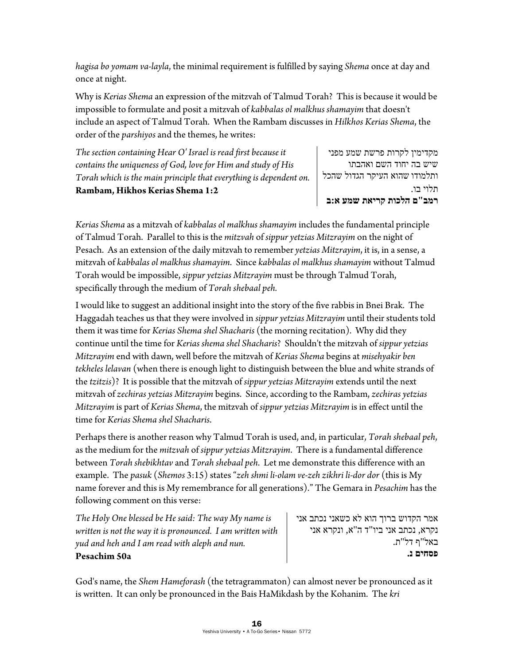*hagisa bo yomam va-layla*, the minimal requirement is fulfilled by saying *Shema* once at day and once at night.

Why is *Kerias Shema* an expression of the mitzvah of Talmud Torah? This is because it would be impossible to formulate and posit a mitzvah of *kabbalas ol malkhus shamayim* that doesn't include an aspect of Talmud Torah. When the Rambam discusses in *Hilkhos Kerias Shema*, the order of the *parshiyos* and the themes, he writes:

*The section containing Hear O' Israel is read first because it contains the uniqueness of God, love for Him and study of His Torah which is the main principle that everything is dependent on.*  **Rambam, Hikhos Kerias Shema 1:2** 

מקדימין לקרות פרשת שמע מפני שיש בה יחוד השם ואהבתו ותלמודו שהוא העיקר הגדול שהכל תלוי בו. **רמב"ם הלכות קריאת שמע א:ב** 

*Kerias Shema* as a mitzvah of *kabbalas ol malkhus shamayim* includes the fundamental principle of Talmud Torah. Parallel to this is the *mitzvah* of *sippur yetzias Mitzrayim* on the night of Pesach. As an extension of the daily mitzvah to remember *yetzias Mitzrayim*, it is, in a sense, a mitzvah of *kabbalas ol malkhus shamayim*. Since *kabbalas ol malkhus shamayim* without Talmud Torah would be impossible, *sippur yetzias Mitzrayim* must be through Talmud Torah, specifically through the medium of *Torah shebaal peh.* 

I would like to suggest an additional insight into the story of the five rabbis in Bnei Brak. The Haggadah teaches us that they were involved in *sippur yetzias Mitzrayim* until their students told them it was time for *Kerias Shema shel Shacharis* (the morning recitation). Why did they continue until the time for *Kerias shema shel Shacharis*? Shouldn't the mitzvah of *sippur yetzias Mitzrayim* end with dawn, well before the mitzvah of *Kerias Shema* begins at *misehyakir ben tekheles lelavan* (when there is enough light to distinguish between the blue and white strands of the *tzitzis*)? It is possible that the mitzvah of *sippur yetzias Mitzrayim* extends until the next mitzvah of *zechiras yetzias Mitzrayim* begins. Since, according to the Rambam, *zechiras yetzias Mitzrayim* is part of *Kerias Shema*, the mitzvah of *sippur yetzias Mitzrayim* is in effect until the time for *Kerias Shema shel Shacharis*.

Perhaps there is another reason why Talmud Torah is used, and, in particular, *Torah shebaal peh*, as the medium for the *mitzvah* of *sippur yetzias Mitzrayim*. There is a fundamental difference between *Torah shebikhtav* and *Torah shebaal peh*. Let me demonstrate this difference with an example. The *pasuk* (*Shemos* 3:15) states "*zeh shmi li-olam ve-zeh zikhri li-dor dor* (this is My name forever and this is My remembrance for all generations)." The Gemara in *Pesachim* has the following comment on this verse:

*The Holy One blessed be He said: The way My name is written is not the way it is pronounced. I am written with yud and heh and I am read with aleph and nun.*  **Pesachim 50a** 

אמר הקדוש ברוך הוא לא כשאני נכתב אני נקרא, נכתב אני ביו"ד ה"א, ונקרא אני באל"ף דל"ת. **פסחים נ .**

God's name, the *Shem Hameforash* (the tetragrammaton) can almost never be pronounced as it is written. It can only be pronounced in the Bais HaMikdash by the Kohanim. The *kri*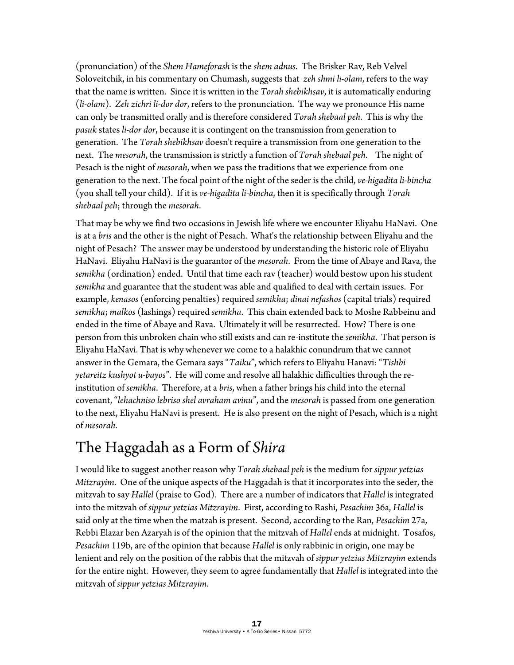(pronunciation) of the *Shem Hameforash* is the *shem adnus*. The Brisker Rav, Reb Velvel Soloveitchik, in his commentary on Chumash, suggests that *zeh shmi li-olam*, refers to the way that the name is written. Since it is written in the *Torah shebikhsav*, it is automatically enduring (*li-olam*). *Zeh zichri li-dor dor*, refers to the pronunciation. The way we pronounce His name can only be transmitted orally and is therefore considered *Torah shebaal peh*. This is why the *pasuk* states *li-dor dor*, because it is contingent on the transmission from generation to generation. The *Torah shebikhsav* doesn't require a transmission from one generation to the next. The *mesorah*, the transmission is strictly a function of *Torah shebaal peh*. The night of Pesach is the night of *mesorah*, when we pass the traditions that we experience from one generation to the next. The focal point of the night of the seder is the child, *ve-higadita li-bincha* (you shall tell your child). If it is *ve-higadita li-bincha*, then it is specifically through *Torah shebaal peh*; through the *mesorah*.

That may be why we find two occasions in Jewish life where we encounter Eliyahu HaNavi. One is at a *bris* and the other is the night of Pesach. What's the relationship between Eliyahu and the night of Pesach? The answer may be understood by understanding the historic role of Eliyahu HaNavi. Eliyahu HaNavi is the guarantor of the *mesorah*. From the time of Abaye and Rava, the *semikha* (ordination) ended. Until that time each rav (teacher) would bestow upon his student *semikha* and guarantee that the student was able and qualified to deal with certain issues. For example, *kenasos* (enforcing penalties) required *semikha*; *dinai nefashos* (capital trials) required *semikha*; *malkos* (lashings) required *semikha*. This chain extended back to Moshe Rabbeinu and ended in the time of Abaye and Rava. Ultimately it will be resurrected. How? There is one person from this unbroken chain who still exists and can re-institute the *semikha*. That person is Eliyahu HaNavi. That is why whenever we come to a halakhic conundrum that we cannot answer in the Gemara, the Gemara says "*Taiku*", which refers to Eliyahu Hanavi: "*Tishbi yetareitz kushyot u-bayos*". He will come and resolve all halakhic difficulties through the reinstitution of *semikha*. Therefore, at a *bris*, when a father brings his child into the eternal covenant, "*lehachniso lebriso shel avraham avinu*", and the *mesorah* is passed from one generation to the next, Eliyahu HaNavi is present. He is also present on the night of Pesach, which is a night of *mesorah*.

#### The Haggadah as a Form of *Shira*

I would like to suggest another reason why *Torah shebaal peh* is the medium for *sippur yetzias Mitzrayim*. One of the unique aspects of the Haggadah is that it incorporates into the seder, the mitzvah to say *Hallel* (praise to God). There are a number of indicators that *Hallel* is integrated into the mitzvah of *sippur yetzias Mitzrayim*. First, according to Rashi, *Pesachim* 36a, *Hallel* is said only at the time when the matzah is present. Second, according to the Ran, *Pesachim* 27a, Rebbi Elazar ben Azaryah is of the opinion that the mitzvah of *Hallel* ends at midnight. Tosafos, *Pesachim* 119b, are of the opinion that because *Hallel* is only rabbinic in origin, one may be lenient and rely on the position of the rabbis that the mitzvah of *sippur yetzias Mitzrayim* extends for the entire night. However, they seem to agree fundamentally that *Hallel* is integrated into the mitzvah of *sippur yetzias Mitzrayim*.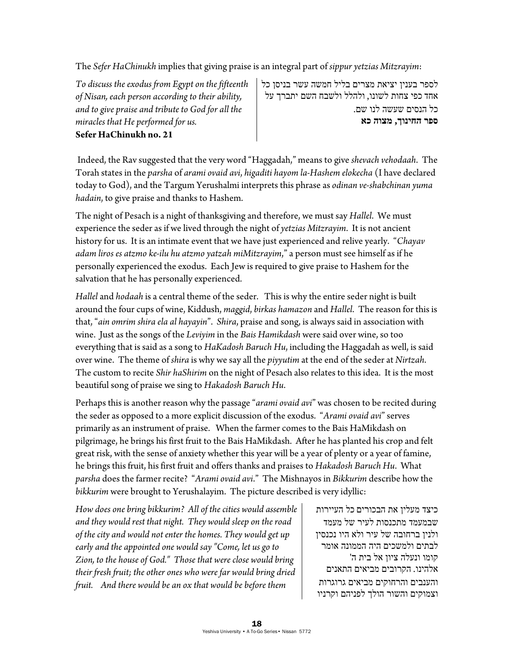The *Sefer HaChinukh* implies that giving praise is an integral part of *sippur yetzias Mitzrayim*:

*To discuss the exodus from Egypt on the fifteenth of Nisan, each person according to their ability, and to give praise and tribute to God for all the miracles that He performed for us.*  **Sefer HaChinukh no. 21** 

לספר בענין יציאת מצרים בליל חמשה עשר בניסן כל אחד כפי צחות לשונו, ולהלל ולשבח השם יתברך על כל הנסים שעשה לנו שם. **ספר החינוך, מצוה כא**

 Indeed, the Rav suggested that the very word "Haggadah," means to give *shevach vehodaah*. The Torah states in the *parsha* of *arami ovaid avi*, *higaditi hayom la-Hashem elokecha* (I have declared today to God), and the Targum Yerushalmi interprets this phrase as *odinan ve-shabchinan yuma hadain*, to give praise and thanks to Hashem.

The night of Pesach is a night of thanksgiving and therefore, we must say *Hallel*. We must experience the seder as if we lived through the night of *yetzias Mitzrayim*. It is not ancient history for us. It is an intimate event that we have just experienced and relive yearly. "*Chayav adam liros es atzmo ke-ilu hu atzmo yatzah miMitzrayim*," a person must see himself as if he personally experienced the exodus. Each Jew is required to give praise to Hashem for the salvation that he has personally experienced.

*Hallel* and *hodaah* is a central theme of the seder. This is why the entire seder night is built around the four cups of wine, Kiddush, *maggid*, *birkas hamazon* and *Hallel*. The reason for this is that, "*ain omrim shira ela al hayayin*". *Shira*, praise and song, is always said in association with wine. Just as the songs of the *Leviyim* in the *Bais Hamikdash* were said over wine, so too everything that is said as a song to *HaKadosh Baruch Hu*, including the Haggadah as well, is said over wine. The theme of *shira* is why we say all the *piyyutim* at the end of the seder at *Nirtzah*. The custom to recite *Shir haShirim* on the night of Pesach also relates to this idea. It is the most beautiful song of praise we sing to *Hakadosh Baruch Hu*.

Perhaps this is another reason why the passage "*arami ovaid avi*" was chosen to be recited during the seder as opposed to a more explicit discussion of the exodus. "*Arami ovaid avi*" serves primarily as an instrument of praise. When the farmer comes to the Bais HaMikdash on pilgrimage, he brings his first fruit to the Bais HaMikdash. After he has planted his crop and felt great risk, with the sense of anxiety whether this year will be a year of plenty or a year of famine, he brings this fruit, his first fruit and offers thanks and praises to *Hakadosh Baruch Hu*. What *parsha* does the farmer recite? "*Arami ovaid avi*." The Mishnayos in *Bikkurim* describe how the *bikkurim* were brought to Yerushalayim. The picture described is very idyllic:

*How does one bring bikkurim? All of the cities would assemble and they would rest that night. They would sleep on the road of the city and would not enter the homes. They would get up early and the appointed one would say "Come, let us go to Zion, to the house of God." Those that were close would bring their fresh fruit; the other ones who were far would bring dried fruit. And there would be an ox that would be before them* 

כיצד מעלין את הבכורים כל העיירות שבמעמד מתכנסות לעיר של מעמד ולנין ברחובה של עיר ולא היו נכנסין לבתים ולמשכים היה הממונה אומר קומו ונעלה ציון אל בית ה' אלהינו. הקרובים מביאים התאנים והענבים והרחוקים מביאים גרוגרות וצמוקים והשור הולך לפניהם וקרניו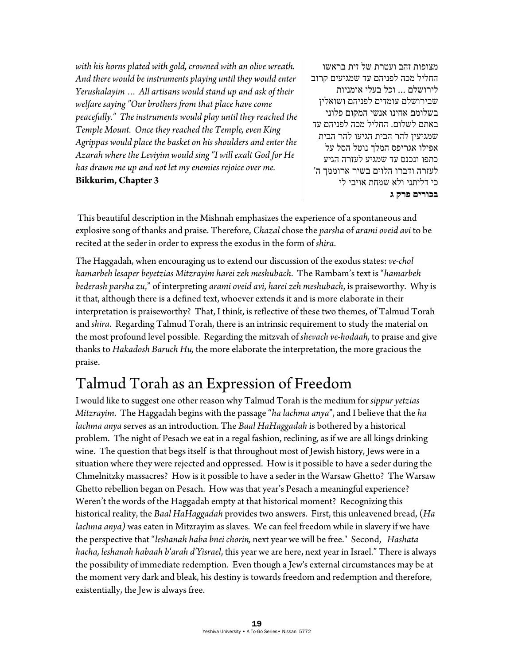*with his horns plated with gold, crowned with an olive wreath. And there would be instruments playing until they would enter Yerushalayim … All artisans would stand up and ask of their welfare saying "Our brothers from that place have come peacefully." The instruments would play until they reached the Temple Mount. Once they reached the Temple, even King Agrippas would place the basket on his shoulders and enter the Azarah where the Leviyim would sing "I will exalt God for He has drawn me up and not let my enemies rejoice over me.* **Bikkurim, Chapter 3** 

מצופות זהב ועטרת של זית בראשו החליל מכה לפניהם עד שמגיעים קרוב לירושלם ... וכל בעלי אומניות שבירושלם עומדים לפניהם ושואלין בשלומם אחינו אנשי המקום פלוני באתם לשלום. החליל מכה לפניהם עד שמגיעין להר הבית הגיעו להר הבית אפילו אגריפס המלך נוטל הסל על כתפו ונכנס עד שמגיע לעזרה הגיע לעזרה ודברו הלוים בשיר ארוממך ה' כי דליתני ולא שמחת אויבי לי **בכורים פרק ג** 

 This beautiful description in the Mishnah emphasizes the experience of a spontaneous and explosive song of thanks and praise. Therefore, *Chazal* chose the *parsha* of *arami oveid avi* to be recited at the seder in order to express the exodus in the form of *shira*.

The Haggadah, when encouraging us to extend our discussion of the exodus states: *ve-chol hamarbeh lesaper beyetzias Mitzrayim harei zeh meshubach*. The Rambam's text is "*hamarbeh bederash parsha zu*," of interpreting *arami oveid avi*, *harei zeh meshubach*, is praiseworthy. Why is it that, although there is a defined text, whoever extends it and is more elaborate in their interpretation is praiseworthy? That, I think, is reflective of these two themes, of Talmud Torah and *shira*. Regarding Talmud Torah, there is an intrinsic requirement to study the material on the most profound level possible. Regarding the mitzvah of *shevach ve-hodaah,* to praise and give thanks to *Hakadosh Baruch Hu,* the more elaborate the interpretation, the more gracious the praise.

### Talmud Torah as an Expression of Freedom

I would like to suggest one other reason why Talmud Torah is the medium for *sippur yetzias Mitzrayim*. The Haggadah begins with the passage "*ha lachma anya*", and I believe that the *ha lachma anya* serves as an introduction. The *Baal HaHaggadah* is bothered by a historical problem. The night of Pesach we eat in a regal fashion, reclining, as if we are all kings drinking wine. The question that begs itself is that throughout most of Jewish history, Jews were in a situation where they were rejected and oppressed. How is it possible to have a seder during the Chmelnitzky massacres? How is it possible to have a seder in the Warsaw Ghetto? The Warsaw Ghetto rebellion began on Pesach. How was that year's Pesach a meaningful experience? Weren't the words of the Haggadah empty at that historical moment? Recognizing this historical reality, the *Baal HaHaggadah* provides two answers. First, this unleavened bread, (*Ha lachma anya)* was eaten in Mitzrayim as slaves. We can feel freedom while in slavery if we have the perspective that "*leshanah haba bnei chorin,* next year we will be free." Second, *Hashata hacha, leshanah habaah b'arah d'Yisrael*, this year we are here, next year in Israel." There is always the possibility of immediate redemption. Even though a Jew's external circumstances may be at the moment very dark and bleak, his destiny is towards freedom and redemption and therefore, existentially, the Jew is always free.